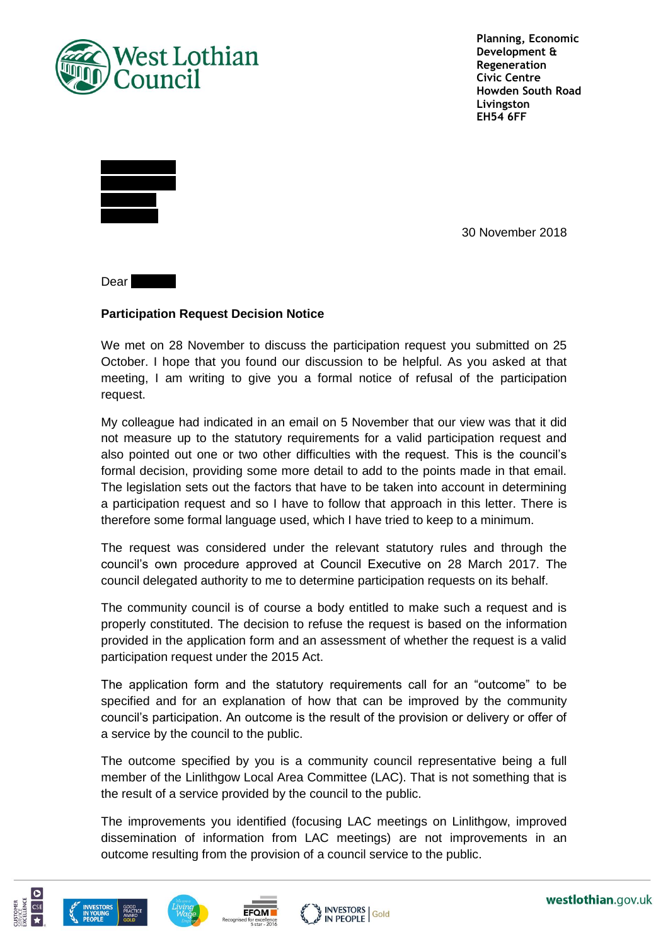

**Planning, Economic Development & Regeneration Civic Centre Howden South Road Livingston EH54 6FF**



30 November 2018

Dear  $\blacksquare$ 

## **Participation Request Decision Notice**

We met on 28 November to discuss the participation request you submitted on 25 October. I hope that you found our discussion to be helpful. As you asked at that meeting, I am writing to give you a formal notice of refusal of the participation request.

My colleague had indicated in an email on 5 November that our view was that it did not measure up to the statutory requirements for a valid participation request and also pointed out one or two other difficulties with the request. This is the council's formal decision, providing some more detail to add to the points made in that email. The legislation sets out the factors that have to be taken into account in determining a participation request and so I have to follow that approach in this letter. There is therefore some formal language used, which I have tried to keep to a minimum.

The request was considered under the relevant statutory rules and through the council's own procedure approved at Council Executive on 28 March 2017. The council delegated authority to me to determine participation requests on its behalf.

The community council is of course a body entitled to make such a request and is properly constituted. The decision to refuse the request is based on the information provided in the application form and an assessment of whether the request is a valid participation request under the 2015 Act.

The application form and the statutory requirements call for an "outcome" to be specified and for an explanation of how that can be improved by the community council's participation. An outcome is the result of the provision or delivery or offer of a service by the council to the public.

The outcome specified by you is a community council representative being a full member of the Linlithgow Local Area Committee (LAC). That is not something that is the result of a service provided by the council to the public.

The improvements you identified (focusing LAC meetings on Linlithgow, improved dissemination of information from LAC meetings) are not improvements in an outcome resulting from the provision of a council service to the public.







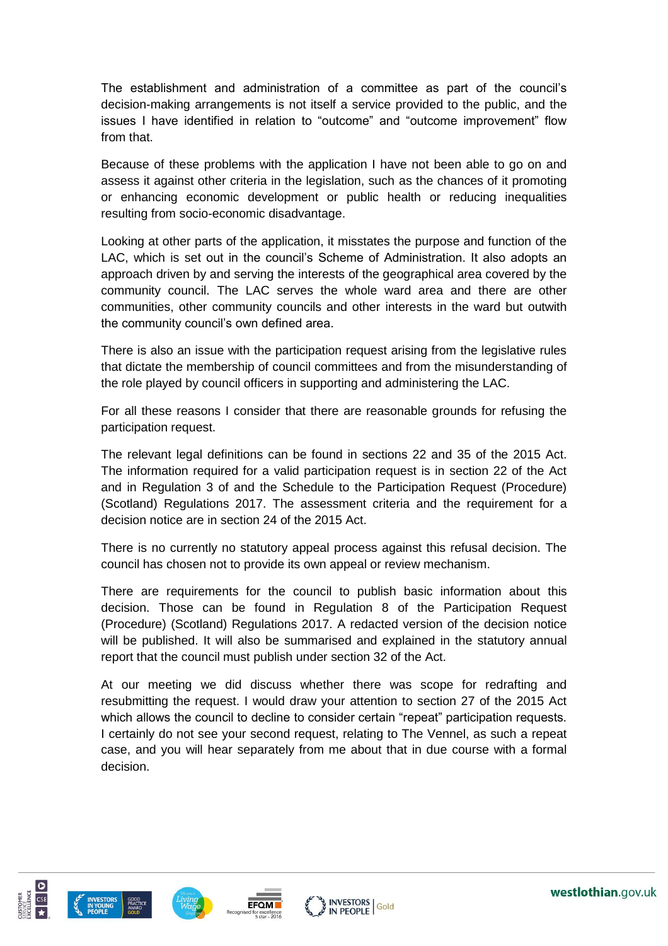The establishment and administration of a committee as part of the council's decision-making arrangements is not itself a service provided to the public, and the issues I have identified in relation to "outcome" and "outcome improvement" flow from that.

Because of these problems with the application I have not been able to go on and assess it against other criteria in the legislation, such as the chances of it promoting or enhancing economic development or public health or reducing inequalities resulting from socio-economic disadvantage.

Looking at other parts of the application, it misstates the purpose and function of the LAC, which is set out in the council's Scheme of Administration. It also adopts an approach driven by and serving the interests of the geographical area covered by the community council. The LAC serves the whole ward area and there are other communities, other community councils and other interests in the ward but outwith the community council's own defined area.

There is also an issue with the participation request arising from the legislative rules that dictate the membership of council committees and from the misunderstanding of the role played by council officers in supporting and administering the LAC.

For all these reasons I consider that there are reasonable grounds for refusing the participation request.

The relevant legal definitions can be found in sections 22 and 35 of the 2015 Act. The information required for a valid participation request is in section 22 of the Act and in Regulation 3 of and the Schedule to the Participation Request (Procedure) (Scotland) Regulations 2017. The assessment criteria and the requirement for a decision notice are in section 24 of the 2015 Act.

There is no currently no statutory appeal process against this refusal decision. The council has chosen not to provide its own appeal or review mechanism.

There are requirements for the council to publish basic information about this decision. Those can be found in Regulation 8 of the Participation Request (Procedure) (Scotland) Regulations 2017. A redacted version of the decision notice will be published. It will also be summarised and explained in the statutory annual report that the council must publish under section 32 of the Act.

At our meeting we did discuss whether there was scope for redrafting and resubmitting the request. I would draw your attention to section 27 of the 2015 Act which allows the council to decline to consider certain "repeat" participation requests. I certainly do not see your second request, relating to The Vennel, as such a repeat case, and you will hear separately from me about that in due course with a formal decision.